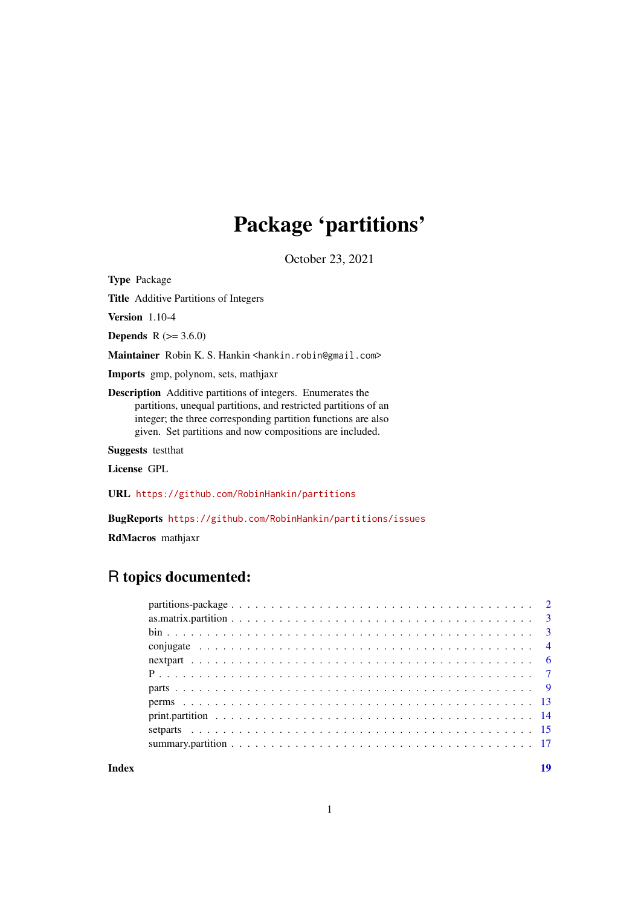# Package 'partitions'

October 23, 2021

Type Package

Title Additive Partitions of Integers

Version 1.10-4

**Depends** R  $(>= 3.6.0)$ 

Maintainer Robin K. S. Hankin <hankin.robin@gmail.com>

Imports gmp, polynom, sets, mathjaxr

Description Additive partitions of integers. Enumerates the partitions, unequal partitions, and restricted partitions of an integer; the three corresponding partition functions are also given. Set partitions and now compositions are included.

Suggests testthat

License GPL

URL <https://github.com/RobinHankin/partitions>

BugReports <https://github.com/RobinHankin/partitions/issues>

RdMacros mathjaxr

# R topics documented:

**Index** 2008 **[19](#page-18-0)99**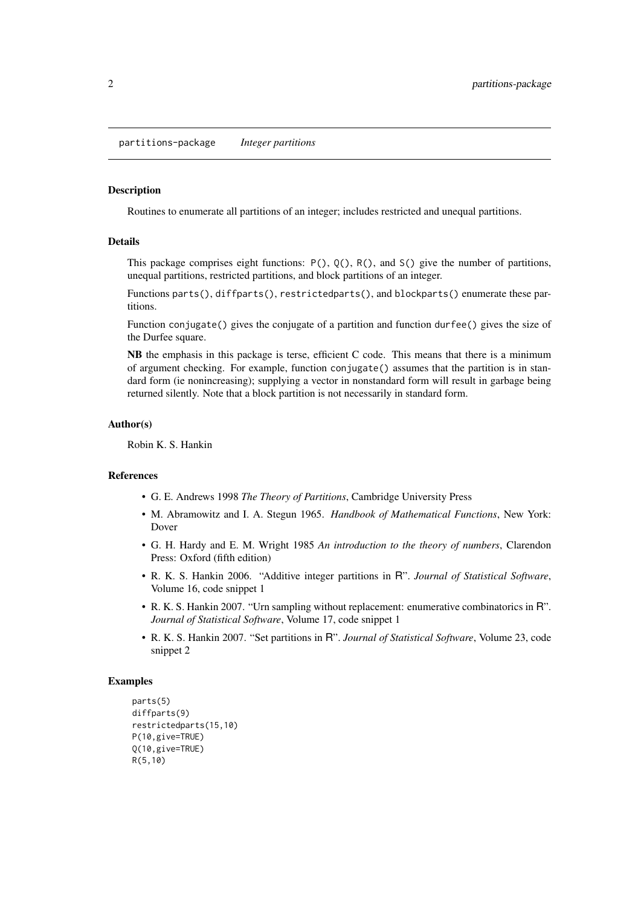<span id="page-1-0"></span>partitions-package *Integer partitions*

## Description

Routines to enumerate all partitions of an integer; includes restricted and unequal partitions.

# Details

This package comprises eight functions:  $P()$ ,  $Q()$ ,  $R()$ , and  $S()$  give the number of partitions, unequal partitions, restricted partitions, and block partitions of an integer.

Functions parts(), diffparts(), restrictedparts(), and blockparts() enumerate these partitions.

Function conjugate() gives the conjugate of a partition and function durfee() gives the size of the Durfee square.

NB the emphasis in this package is terse, efficient C code. This means that there is a minimum of argument checking. For example, function conjugate() assumes that the partition is in standard form (ie nonincreasing); supplying a vector in nonstandard form will result in garbage being returned silently. Note that a block partition is not necessarily in standard form.

### Author(s)

Robin K. S. Hankin

## References

- G. E. Andrews 1998 *The Theory of Partitions*, Cambridge University Press
- M. Abramowitz and I. A. Stegun 1965. *Handbook of Mathematical Functions*, New York: Dover
- G. H. Hardy and E. M. Wright 1985 *An introduction to the theory of numbers*, Clarendon Press: Oxford (fifth edition)
- R. K. S. Hankin 2006. "Additive integer partitions in R". *Journal of Statistical Software*, Volume 16, code snippet 1
- R. K. S. Hankin 2007. "Urn sampling without replacement: enumerative combinatorics in R". *Journal of Statistical Software*, Volume 17, code snippet 1
- R. K. S. Hankin 2007. "Set partitions in R". *Journal of Statistical Software*, Volume 23, code snippet 2

## Examples

```
parts(5)
diffparts(9)
restrictedparts(15,10)
P(10,give=TRUE)
Q(10,give=TRUE)
R(5,10)
```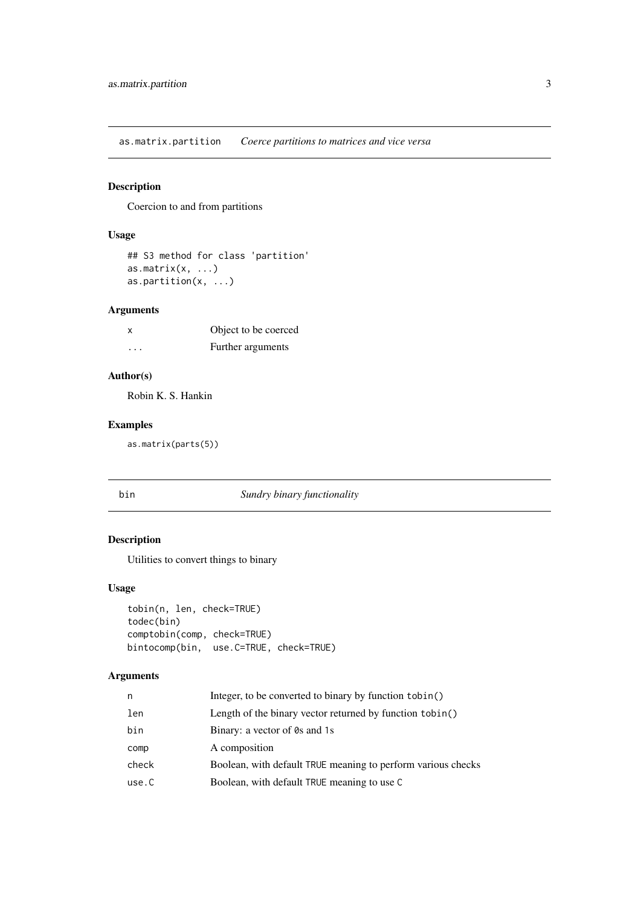<span id="page-2-0"></span>as.matrix.partition *Coerce partitions to matrices and vice versa*

# Description

Coercion to and from partitions

# Usage

```
## S3 method for class 'partition'
as.matrix(x, \ldots)as.partition(x, ...)
```
# Arguments

| x        | Object to be coerced |
|----------|----------------------|
| $\cdots$ | Further arguments    |

# Author(s)

Robin K. S. Hankin

# Examples

as.matrix(parts(5))

# bin *Sundry binary functionality*

# Description

Utilities to convert things to binary

# Usage

```
tobin(n, len, check=TRUE)
todec(bin)
comptobin(comp, check=TRUE)
bintocomp(bin, use.C=TRUE, check=TRUE)
```

| Integer, to be converted to binary by function tobin()       |
|--------------------------------------------------------------|
| Length of the binary vector returned by function tobin()     |
| Binary: a vector of 0s and 1s                                |
| A composition                                                |
| Boolean, with default TRUE meaning to perform various checks |
| Boolean, with default TRUE meaning to use C                  |
|                                                              |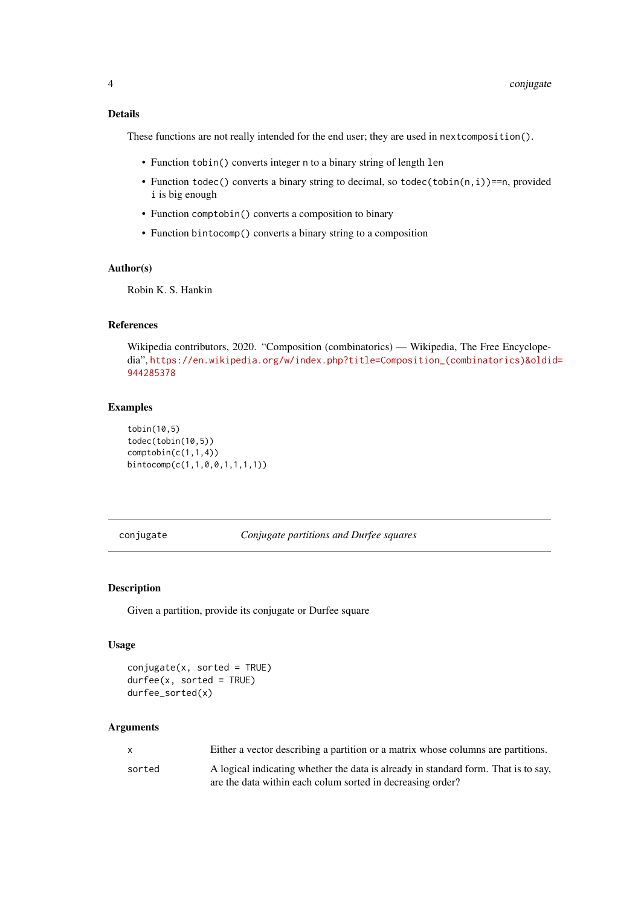# <span id="page-3-0"></span>Details

These functions are not really intended for the end user; they are used in nextcomposition().

- Function tobin() converts integer n to a binary string of length len
- Function todec() converts a binary string to decimal, so todec(tobin(n, i))==n, provided i is big enough
- Function comptobin() converts a composition to binary
- Function bintocomp() converts a binary string to a composition

## Author(s)

Robin K. S. Hankin

# References

Wikipedia contributors, 2020. "Composition (combinatorics) — Wikipedia, The Free Encyclopedia", [https://en.wikipedia.org/w/index.php?title=Composition\\_\(combinatorics\)&oldi](https://en.wikipedia.org/w/index.php?title=Composition_(combinatorics)&oldid=944285378)d= [944285378](https://en.wikipedia.org/w/index.php?title=Composition_(combinatorics)&oldid=944285378)

## Examples

```
tobin(10,5)
todec(tobin(10,5))
comptobin(c(1,1,4))bintocomp(c(1,1,0,0,1,1,1,1))
```
conjugate *Conjugate partitions and Durfee squares*

## Description

Given a partition, provide its conjugate or Durfee square

## Usage

```
conjugate(x, sorted = TRUE)durfee(x, sorted = TRUE)
durfee_sorted(x)
```

| $\mathsf{X}$ | Either a vector describing a partition or a matrix whose columns are partitions.   |
|--------------|------------------------------------------------------------------------------------|
| sorted       | A logical indicating whether the data is already in standard form. That is to say, |
|              | are the data within each colum sorted in decreasing order?                         |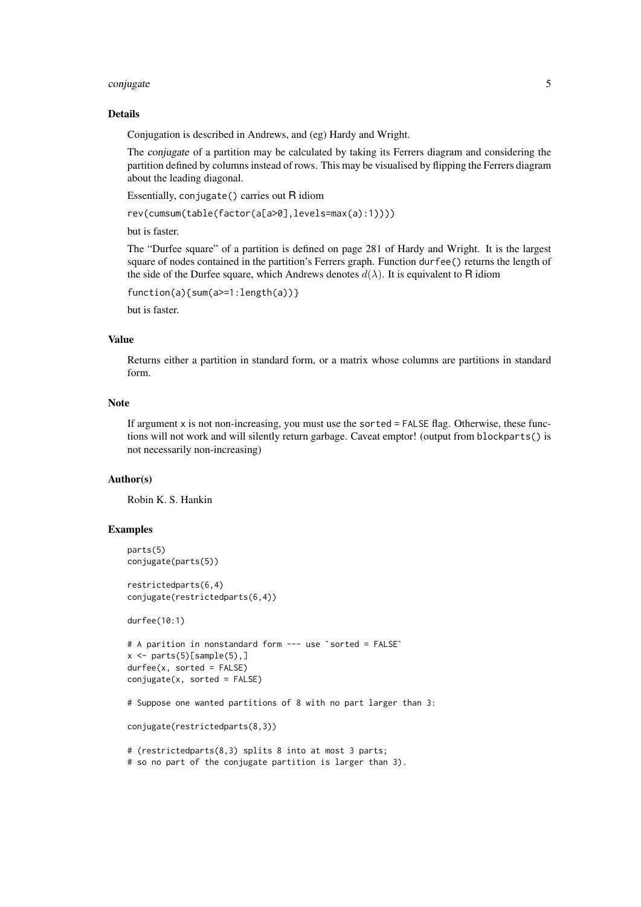## conjugate 5 and 5 and 5 and 5 and 5 and 5 and 5 and 5 and 5 and 5 and 5 and 5 and 5 and 5 and 5 and 5 and 5 and 5 and 5 and 5 and 5 and 5 and 5 and 5 and 5 and 5 and 5 and 5 and 5 and 5 and 5 and 5 and 5 and 5 and 5 and 5

#### Details

Conjugation is described in Andrews, and (eg) Hardy and Wright.

The conjugate of a partition may be calculated by taking its Ferrers diagram and considering the partition defined by columns instead of rows. This may be visualised by flipping the Ferrers diagram about the leading diagonal.

Essentially, conjugate() carries out R idiom

```
rev(cumsum(table(factor(a[a>0],levels=max(a):1))))
```
but is faster.

The "Durfee square" of a partition is defined on page 281 of Hardy and Wright. It is the largest square of nodes contained in the partition's Ferrers graph. Function durfee() returns the length of the side of the Durfee square, which Andrews denotes  $d(\lambda)$ . It is equivalent to R idiom

```
function(a){sum(a>=1:length(a))}
```
but is faster.

# Value

Returns either a partition in standard form, or a matrix whose columns are partitions in standard form.

## Note

If argument x is not non-increasing, you must use the sorted = FALSE flag. Otherwise, these functions will not work and will silently return garbage. Caveat emptor! (output from blockparts() is not necessarily non-increasing)

## Author(s)

Robin K. S. Hankin

## Examples

```
parts(5)
conjugate(parts(5))
restrictedparts(6,4)
conjugate(restrictedparts(6,4))
durfee(10:1)
# A parition in nonstandard form --- use `sorted = FALSE`
x \leq -parts(5)[sample(5),]
durfee(x, sorted = FALSE)
conjugate(x, sorted = FALSE)# Suppose one wanted partitions of 8 with no part larger than 3:
conjugate(restrictedparts(8,3))
# (restrictedparts(8,3) splits 8 into at most 3 parts;
# so no part of the conjugate partition is larger than 3).
```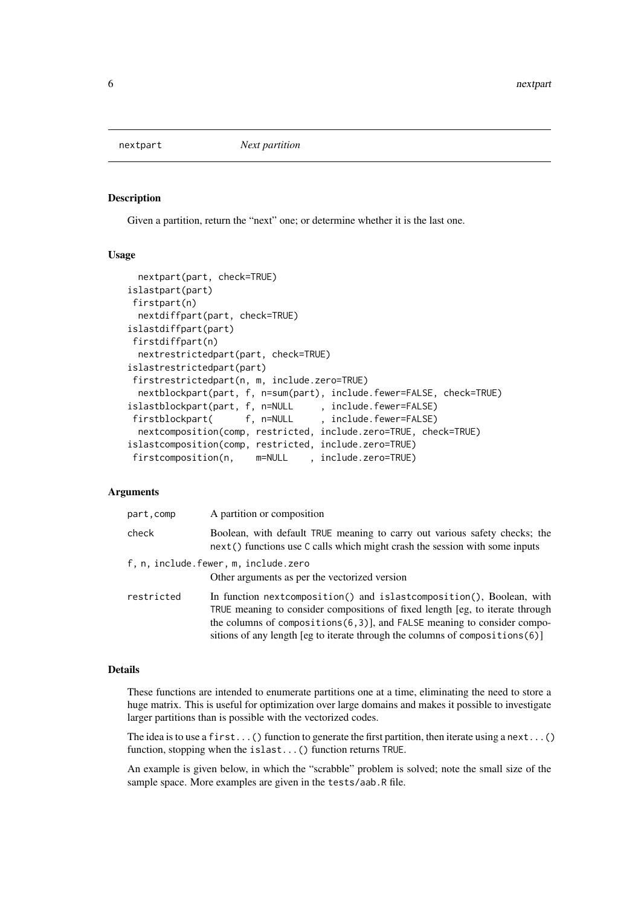<span id="page-5-1"></span><span id="page-5-0"></span>

## Description

Given a partition, return the "next" one; or determine whether it is the last one.

## Usage

```
nextpart(part, check=TRUE)
islastpart(part)
firstpart(n)
 nextdiffpart(part, check=TRUE)
islastdiffpart(part)
firstdiffpart(n)
 nextrestrictedpart(part, check=TRUE)
islastrestrictedpart(part)
 firstrestrictedpart(n, m, include.zero=TRUE)
 nextblockpart(part, f, n=sum(part), include.fewer=FALSE, check=TRUE)
islastblockpart(part, f, n=NULL , include.fewer=FALSE)
firstblockpart( f, n=NULL , include.fewer=FALSE)
 nextcomposition(comp, restricted, include.zero=TRUE, check=TRUE)
islastcomposition(comp, restricted, include.zero=TRUE)
firstcomposition(n, m=NULL , include.zero=TRUE)
```
## Arguments

| part, comp | A partition or composition                                                                                                                                                                                                                                                                                        |
|------------|-------------------------------------------------------------------------------------------------------------------------------------------------------------------------------------------------------------------------------------------------------------------------------------------------------------------|
| check      | Boolean, with default TRUE meaning to carry out various safety checks; the<br>next () functions use C calls which might crash the session with some inputs                                                                                                                                                        |
|            | f, n, include.fewer, m, include.zero<br>Other arguments as per the vectorized version                                                                                                                                                                                                                             |
| restricted | In function nextcomposition() and islastcomposition(), Boolean, with<br>TRUE meaning to consider compositions of fixed length [eg, to iterate through<br>the columns of compositions (6,3)], and FALSE meaning to consider compo-<br>sitions of any length [eg to iterate through the columns of compositions(6)] |

#### Details

These functions are intended to enumerate partitions one at a time, eliminating the need to store a huge matrix. This is useful for optimization over large domains and makes it possible to investigate larger partitions than is possible with the vectorized codes.

The idea is to use a first...() function to generate the first partition, then iterate using a next...() function, stopping when the islast...() function returns TRUE.

An example is given below, in which the "scrabble" problem is solved; note the small size of the sample space. More examples are given in the tests/aab.R file.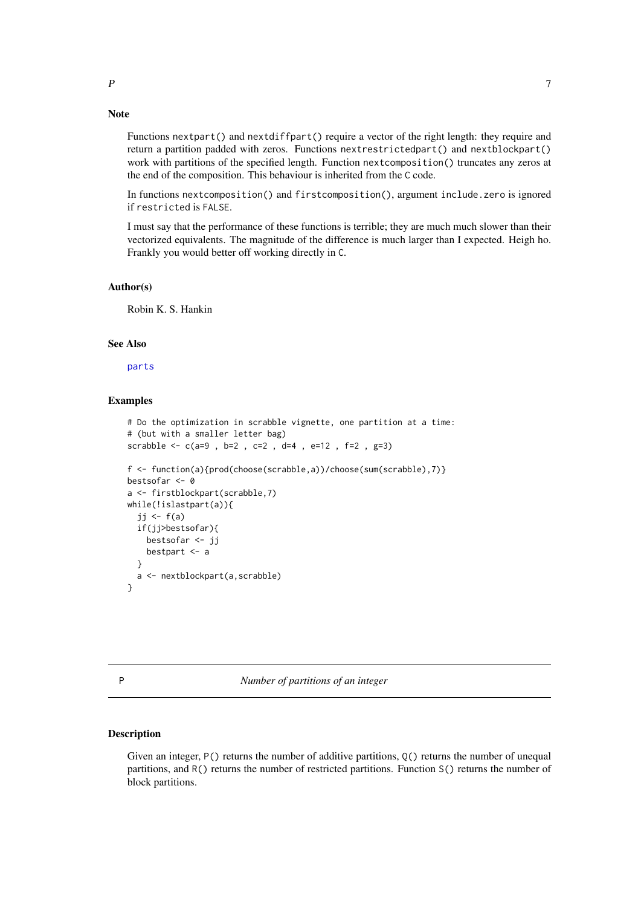# <span id="page-6-0"></span>Note

Functions nextpart() and nextdiffpart() require a vector of the right length: they require and return a partition padded with zeros. Functions nextrestrictedpart() and nextblockpart() work with partitions of the specified length. Function next composition() truncates any zeros at the end of the composition. This behaviour is inherited from the C code.

In functions nextcomposition() and firstcomposition(), argument include.zero is ignored if restricted is FALSE.

I must say that the performance of these functions is terrible; they are much much slower than their vectorized equivalents. The magnitude of the difference is much larger than I expected. Heigh ho. Frankly you would better off working directly in C.

## Author(s)

Robin K. S. Hankin

#### See Also

[parts](#page-8-1)

## Examples

```
# Do the optimization in scrabble vignette, one partition at a time:
# (but with a smaller letter bag)
scrabble <- c(a=9 , b=2 , c=2 , d=4 , e=12 , f=2 , g=3)
f <- function(a){prod(choose(scrabble,a))/choose(sum(scrabble),7)}
bestsofar <- 0
a <- firstblockpart(scrabble,7)
while(!islastpart(a)){
  jj <- f(a)if(jj>bestsofar){
    bestsofar <- jj
    bestpart <- a
  }
  a <- nextblockpart(a,scrabble)
}
```
P *Number of partitions of an integer*

## Description

Given an integer, P() returns the number of additive partitions, Q() returns the number of unequal partitions, and R() returns the number of restricted partitions. Function S() returns the number of block partitions.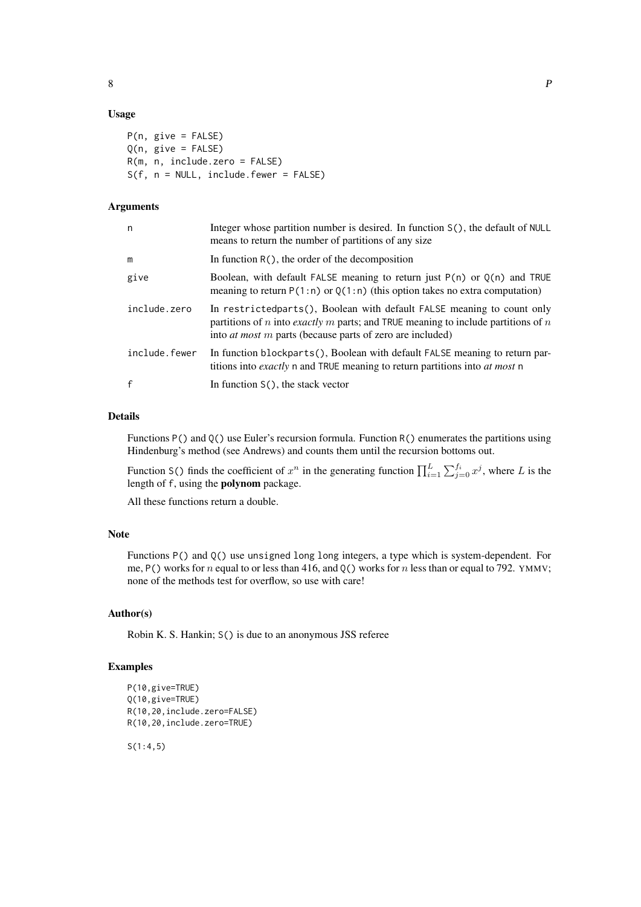## Usage

P(n, give = FALSE)  $Q(n, give = FALSE)$ R(m, n, include.zero = FALSE) S(f, n = NULL, include.fewer = FALSE)

# Arguments

| n             | Integer whose partition number is desired. In function S(), the default of NULL<br>means to return the number of partitions of any size                                                                                           |
|---------------|-----------------------------------------------------------------------------------------------------------------------------------------------------------------------------------------------------------------------------------|
| m             | In function $R()$ , the order of the decomposition                                                                                                                                                                                |
| give          | Boolean, with default FALSE meaning to return just $P(n)$ or $Q(n)$ and TRUE<br>meaning to return $P(1:n)$ or $Q(1:n)$ (this option takes no extra computation)                                                                   |
| include.zero  | In restricted parts (), Boolean with default FALSE meaning to count only<br>partitions of n into exactly m parts; and TRUE meaning to include partitions of n<br>into <i>at most m</i> parts (because parts of zero are included) |
| include.fewer | In function blockparts(), Boolean with default FALSE meaning to return par-<br>titions into exactly n and TRUE meaning to return partitions into at most n                                                                        |
| $\mathbf{f}$  | In function $S()$ , the stack vector                                                                                                                                                                                              |

## Details

Functions P() and Q() use Euler's recursion formula. Function R() enumerates the partitions using Hindenburg's method (see Andrews) and counts them until the recursion bottoms out.

Function S() finds the coefficient of  $x^n$  in the generating function  $\prod_{i=1}^L \sum_{j=0}^{f_i} x^j$ , where L is the length of f, using the polynom package.

All these functions return a double.

## Note

Functions P() and Q() use unsigned long long integers, a type which is system-dependent. For me, P() works for n equal to or less than 416, and Q() works for n less than or equal to 792. YMMV; none of the methods test for overflow, so use with care!

## Author(s)

Robin K. S. Hankin; S() is due to an anonymous JSS referee

# Examples

```
P(10,give=TRUE)
Q(10,give=TRUE)
R(10,20,include.zero=FALSE)
R(10,20,include.zero=TRUE)
```
S(1:4,5)

8 P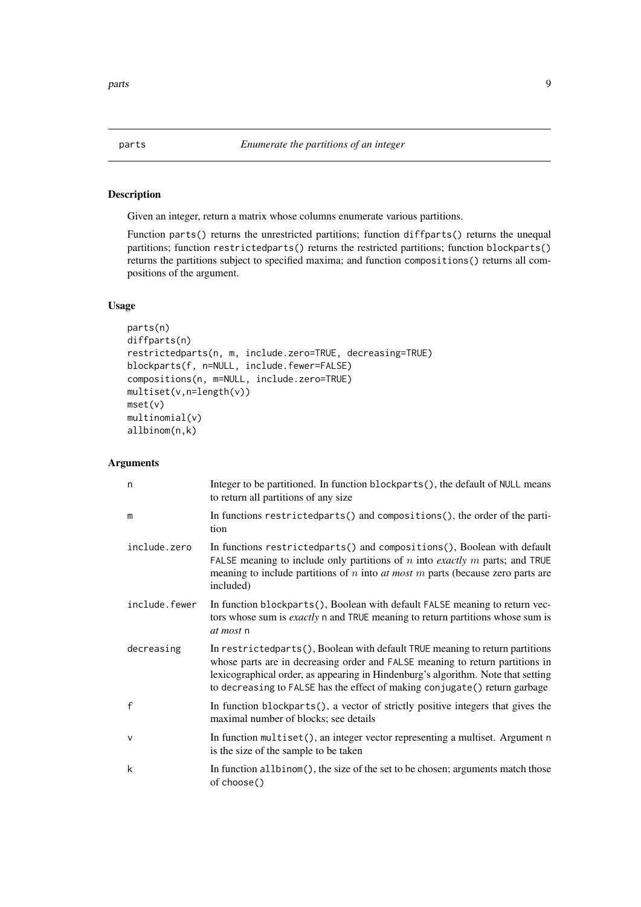<span id="page-8-1"></span><span id="page-8-0"></span>

# Description

Given an integer, return a matrix whose columns enumerate various partitions.

Function parts() returns the unrestricted partitions; function diffparts() returns the unequal partitions; function restrictedparts() returns the restricted partitions; function blockparts() returns the partitions subject to specified maxima; and function compositions() returns all compositions of the argument.

# Usage

```
parts(n)
diffparts(n)
restrictedparts(n, m, include.zero=TRUE, decreasing=TRUE)
blockparts(f, n=NULL, include.fewer=FALSE)
compositions(n, m=NULL, include.zero=TRUE)
multiset(v,n=length(v))
mset(v)
multinomial(v)
allbinom(n,k)
```

| n             | Integer to be partitioned. In function blockparts(), the default of NULL means<br>to return all partitions of any size                                                                                                                                                                                                             |
|---------------|------------------------------------------------------------------------------------------------------------------------------------------------------------------------------------------------------------------------------------------------------------------------------------------------------------------------------------|
| m             | In functions restricted parts () and compositions (), the order of the parti-<br>tion                                                                                                                                                                                                                                              |
| include.zero  | In functions restricted parts () and compositions (), Boolean with default<br>FALSE meaning to include only partitions of $n$ into <i>exactly</i> $m$ parts; and TRUE<br>meaning to include partitions of $n$ into $at$ most $m$ parts (because zero parts are<br>included)                                                        |
| include.fewer | In function blockparts(), Boolean with default FALSE meaning to return vec-<br>tors whose sum is exactly n and TRUE meaning to return partitions whose sum is<br>at most n                                                                                                                                                         |
| decreasing    | In restricted parts (), Boolean with default TRUE meaning to return partitions<br>whose parts are in decreasing order and FALSE meaning to return partitions in<br>lexicographical order, as appearing in Hindenburg's algorithm. Note that setting<br>to decreasing to FALSE has the effect of making conjugate () return garbage |
| $\mathsf{f}$  | In function blockparts(), a vector of strictly positive integers that gives the<br>maximal number of blocks; see details                                                                                                                                                                                                           |
| $\vee$        | In function multiset(), an integer vector representing a multiset. Argument n<br>is the size of the sample to be taken                                                                                                                                                                                                             |
| k             | In function all binom (), the size of the set to be chosen; arguments match those<br>of choose()                                                                                                                                                                                                                                   |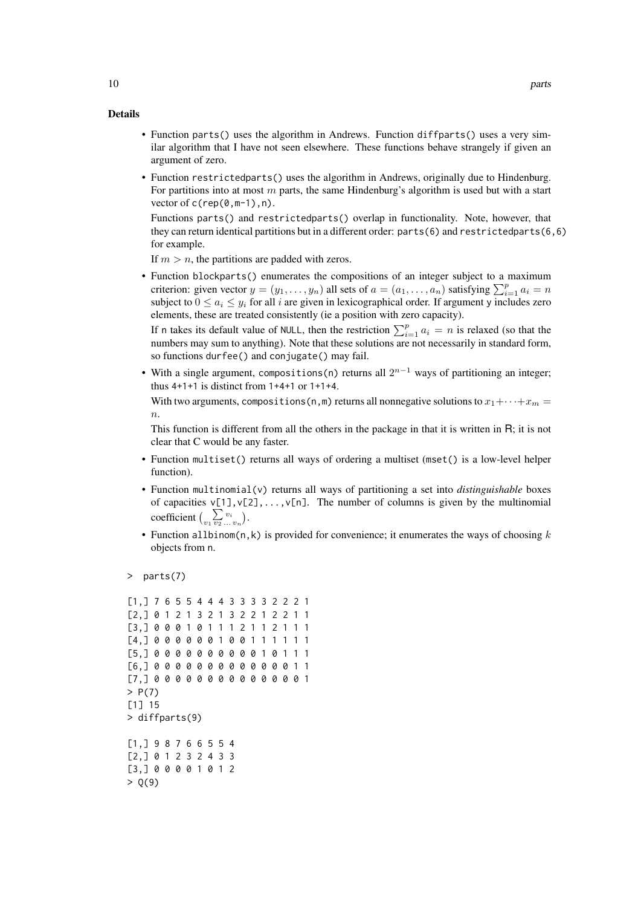## Details

- Function parts() uses the algorithm in Andrews. Function diffparts() uses a very similar algorithm that I have not seen elsewhere. These functions behave strangely if given an argument of zero.
- Function restrictedparts() uses the algorithm in Andrews, originally due to Hindenburg. For partitions into at most  $m$  parts, the same Hindenburg's algorithm is used but with a start vector of c(rep(0,m-1),n).

Functions parts() and restrictedparts() overlap in functionality. Note, however, that they can return identical partitions but in a different order:  $parts(6)$  and restrictedparts(6,6) for example.

If  $m > n$ , the partitions are padded with zeros.

• Function blockparts() enumerates the compositions of an integer subject to a maximum criterion: given vector  $y = (y_1, \ldots, y_n)$  all sets of  $a = (a_1, \ldots, a_n)$  satisfying  $\sum_{i=1}^p a_i = n$ subject to  $0 \le a_i \le y_i$  for all i are given in lexicographical order. If argument y includes zero elements, these are treated consistently (ie a position with zero capacity).

If n takes its default value of NULL, then the restriction  $\sum_{i=1}^{p} a_i = n$  is relaxed (so that the numbers may sum to anything). Note that these solutions are not necessarily in standard form, so functions durfee() and conjugate() may fail.

• With a single argument, compositions(n) returns all  $2^{n-1}$  ways of partitioning an integer; thus  $4+1+1$  is distinct from  $1+4+1$  or  $1+1+4$ .

With two arguments, compositions (n, m) returns all nonnegative solutions to  $x_1 + \cdots + x_m =$  $\overline{n}$ .

This function is different from all the others in the package in that it is written in R; it is not clear that C would be any faster.

- Function multiset() returns all ways of ordering a multiset (mset() is a low-level helper function).
- Function multinomial(v) returns all ways of partitioning a set into *distinguishable* boxes of capacities  $v[1], v[2], \ldots, v[n]$ . The number of columns is given by the multinomial coefficient  $\left(\sum_{v_1} \sum_{v_2...v_n} v_i\right)$ .
- Function allbinom(n,k) is provided for convenience; it enumerates the ways of choosing  $k$ objects from n.

```
> parts(7)
```

```
[1,] 7 6 5 5 4 4 4 3 3 3 3 2 2 2 1
[2,] 0 1 2 1 3 2 1 3 2 2 1 2 2 1 1
[3,] 0 0 0 1 0 1 1 1 2 1 1 2 1 1 1
[4,] 0 0 0 0 0 0 1 0 0 1 1 1 1 1 1
[5,] 0 0 0 0 0 0 0 0 0 0 1 0 1 1 1
[6,] 0 0 0 0 0 0 0 0 0 0 0 0 0 1 1
[7,] 0 0 0 0 0 0 0 0 0 0 0 0 0 0 1
> P(7)[1] 15
> diffparts(9)
[1,] 9 8 7 6 6 5 5 4
[2,] 0 1 2 3 2 4 3 3
[3,] 0 0 0 0 1 0 1 2
> Q(9)
```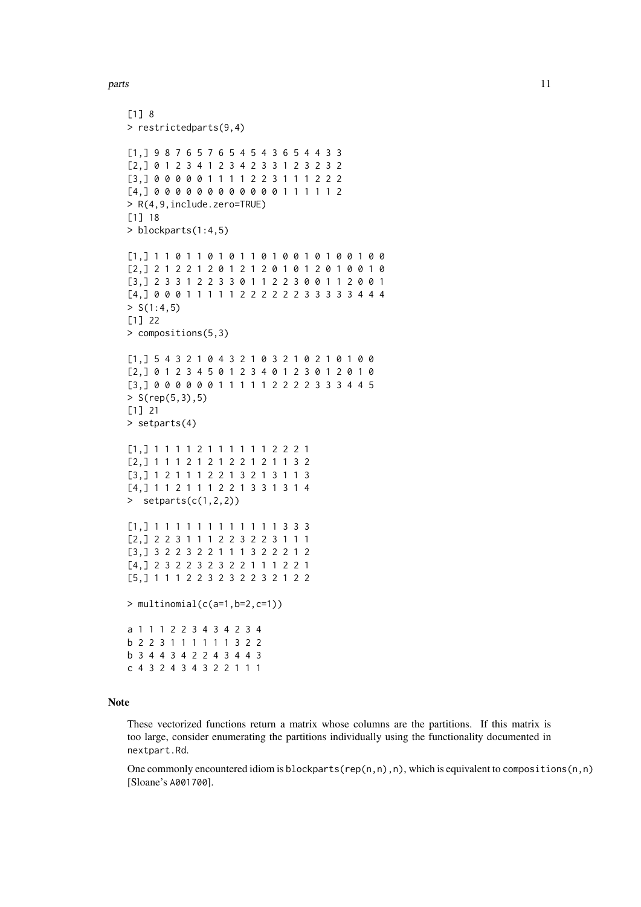# parts the contract of the contract of the contract of the contract of the contract of the contract of the contract of the contract of the contract of the contract of the contract of the contract of the contract of the cont

```
[1] 8
> restrictedparts(9,4)
[1,] 9 8 7 6 5 7 6 5 4 5 4 3 6 5 4 4 3 3
[2,] 0 1 2 3 4 1 2 3 4 2 3 3 1 2 3 2 3 2
[3,] 0 0 0 0 0 1 1 1 1 2 2 3 1 1 1 2 2 2
[4,] 0 0 0 0 0 0 0 0 0 0 0 0 1 1 1 1 1 2
> R(4,9,include.zero=TRUE)
[1] 18
> blockparts(1:4,5)
[1,] 1 1 0 1 1 0 1 0 1 1 0 1 0 0 1 0 1 0 0 1 0 0
[2,] 2 1 2 2 1 2 0 1 2 1 2 0 1 0 1 2 0 1 0 0 1 0
[3,] 2 3 3 1 2 2 3 3 0 1 1 2 2 3 0 0 1 1 2 0 0 1
[4,] 0 0 0 1 1 1 1 1 2 2 2 2 2 2 3 3 3 3 3 4 4 4
> S(1:4,5)[1] 22
> compositions(5,3)
[1,] 5 4 3 2 1 0 4 3 2 1 0 3 2 1 0 2 1 0 1 0 0
[2,] 0 1 2 3 4 5 0 1 2 3 4 0 1 2 3 0 1 2 0 1 0
[3,] 0 0 0 0 0 0 1 1 1 1 1 2 2 2 2 3 3 3 4 4 5
> S(rep(5,3),5)[1] 21
> setparts(4)
[1,] 1 1 1 1 2 1 1 1 1 1 1 2 2 2 1
[2,] 1 1 1 2 1 2 1 2 2 1 2 1 1 3 2
[3,] 1 2 1 1 1 2 2 1 3 2 1 3 1 1 3
[4,] 1 1 2 1 1 1 2 2 1 3 3 1 3 1 4
> setparts(c(1,2,2))
[1,] 1 1 1 1 1 1 1 1 1 1 1 1 3 3 3
[2,] 2 2 3 1 1 1 2 2 3 2 2 3 1 1 1
[3,] 3 2 2 3 2 2 1 1 1 3 2 2 2 1 2
[4,] 2 3 2 2 3 2 3 2 2 1 1 1 2 2 1
[5,] 1 1 1 2 2 3 2 3 2 2 3 2 1 2 2
> multinomial(c(a=1,b=2,c=1))
a 1 1 1 2 2 3 4 3 4 2 3 4
b 2 2 3 1 1 1 1 1 1 3 2 2
b 3 4 4 3 4 2 2 4 3 4 4 3
c 4 3 2 4 3 4 3 2 2 1 1 1
```
# Note

These vectorized functions return a matrix whose columns are the partitions. If this matrix is too large, consider enumerating the partitions individually using the functionality documented in nextpart.Rd.

One commonly encountered idiom is blockparts(rep(n,n),n), which is equivalent to compositions(n,n) [Sloane's A001700].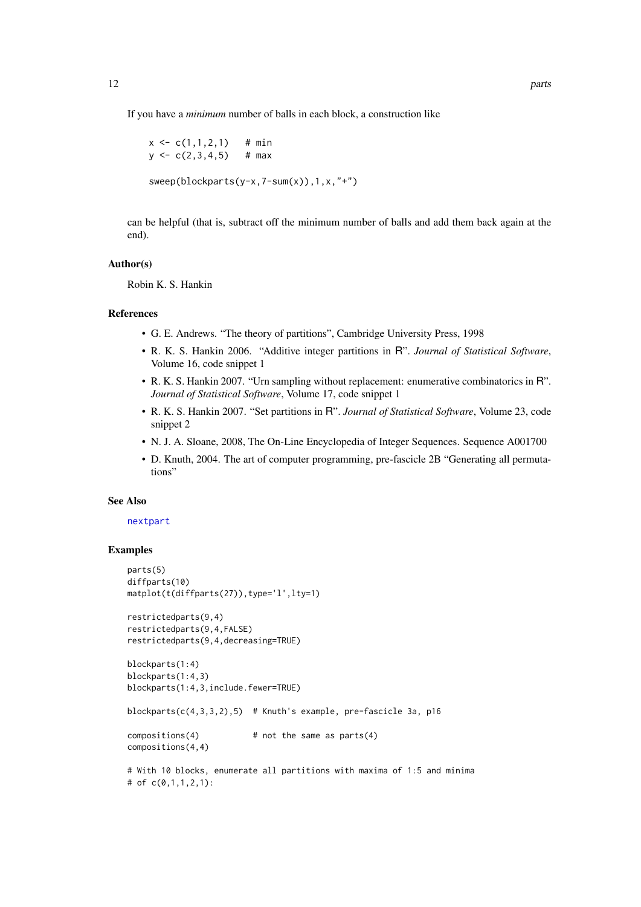<span id="page-11-0"></span>If you have a *minimum* number of balls in each block, a construction like

```
x \leq -c(1,1,2,1) # min
y \leq -c(2,3,4,5) # max
```
sweep(blockparts(y-x,7-sum(x)),1,x,"+")

can be helpful (that is, subtract off the minimum number of balls and add them back again at the end).

## Author(s)

Robin K. S. Hankin

#### References

- G. E. Andrews. "The theory of partitions", Cambridge University Press, 1998
- R. K. S. Hankin 2006. "Additive integer partitions in R". *Journal of Statistical Software*, Volume 16, code snippet 1
- R. K. S. Hankin 2007. "Urn sampling without replacement: enumerative combinatorics in R". *Journal of Statistical Software*, Volume 17, code snippet 1
- R. K. S. Hankin 2007. "Set partitions in R". *Journal of Statistical Software*, Volume 23, code snippet 2
- N. J. A. Sloane, 2008, The On-Line Encyclopedia of Integer Sequences. Sequence A001700
- D. Knuth, 2004. The art of computer programming, pre-fascicle 2B "Generating all permutations"

#### See Also

## [nextpart](#page-5-1)

## Examples

```
parts(5)
diffparts(10)
matplot(t(diffparts(27)),type='l',lty=1)
restrictedparts(9,4)
restrictedparts(9,4,FALSE)
restrictedparts(9,4,decreasing=TRUE)
blockparts(1:4)
blockparts(1:4,3)
blockparts(1:4,3,include.fewer=TRUE)
blockparts(c(4,3,3,2),5) # Knuth's example, pre-fascicle 3a, p16
compositions(4) # not the same as parts(4)
compositions(4,4)
# With 10 blocks, enumerate all partitions with maxima of 1:5 and minima
# of c(0,1,1,2,1):
```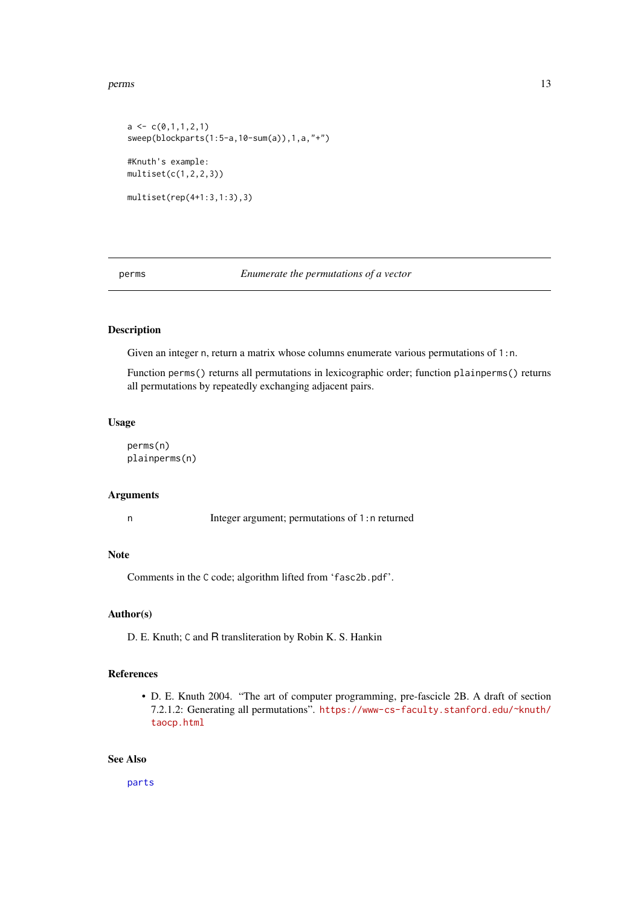## <span id="page-12-0"></span>perms and the contract of the contract of the contract of the contract of the contract of the contract of the contract of the contract of the contract of the contract of the contract of the contract of the contract of the

```
a \leftarrow c(0,1,1,2,1)sweep(blockparts(1:5-a,10-sum(a)),1,a,"+")
#Knuth's example:
multiset(c(1,2,2,3))
multiset(rep(4+1:3,1:3),3)
```
## perms *Enumerate the permutations of a vector*

# Description

Given an integer n, return a matrix whose columns enumerate various permutations of 1:n.

Function perms() returns all permutations in lexicographic order; function plainperms() returns all permutations by repeatedly exchanging adjacent pairs.

# Usage

perms(n) plainperms(n)

## Arguments

n Integer argument; permutations of 1:n returned

# Note

Comments in the C code; algorithm lifted from 'fasc2b.pdf'.

# Author(s)

D. E. Knuth; C and R transliteration by Robin K. S. Hankin

## References

• D. E. Knuth 2004. "The art of computer programming, pre-fascicle 2B. A draft of section 7.2.1.2: Generating all permutations". [https://www-cs-faculty.stanford.edu/~knuth/](https://www-cs-faculty.stanford.edu/~knuth/taocp.html) [taocp.html](https://www-cs-faculty.stanford.edu/~knuth/taocp.html)

## See Also

[parts](#page-8-1)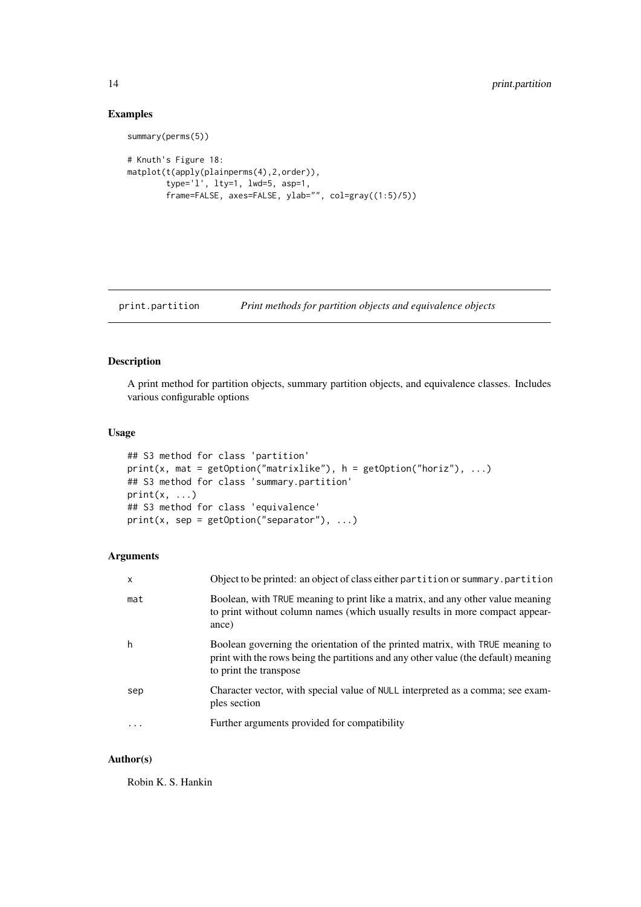# Examples

```
summary(perms(5))
# Knuth's Figure 18:
matplot(t(apply(plainperms(4),2,order)),
        type='l', lty=1, lwd=5, asp=1,
        frame=FALSE, axes=FALSE, ylab="", col=gray((1:5)/5))
```
<span id="page-13-1"></span>print.partition *Print methods for partition objects and equivalence objects*

# Description

A print method for partition objects, summary partition objects, and equivalence classes. Includes various configurable options

## Usage

```
## S3 method for class 'partition'
print(x, mat = getOption("matrixlike"), h = getOption("horiz"), ...)## S3 method for class 'summary.partition'
print(x, \ldots)## S3 method for class 'equivalence'
print(x, sep = getOption("separator"), ...)
```
## Arguments

| X         | Object to be printed: an object of class either partition or summary.partition                                                                                                                |
|-----------|-----------------------------------------------------------------------------------------------------------------------------------------------------------------------------------------------|
| mat       | Boolean, with TRUE meaning to print like a matrix, and any other value meaning<br>to print without column names (which usually results in more compact appear-<br>ance)                       |
| h         | Boolean governing the orientation of the printed matrix, with TRUE meaning to<br>print with the rows being the partitions and any other value (the default) meaning<br>to print the transpose |
| sep       | Character vector, with special value of NULL interpreted as a comma; see exam-<br>ples section                                                                                                |
| $\ddotsc$ | Further arguments provided for compatibility                                                                                                                                                  |
|           |                                                                                                                                                                                               |

# Author(s)

Robin K. S. Hankin

<span id="page-13-0"></span>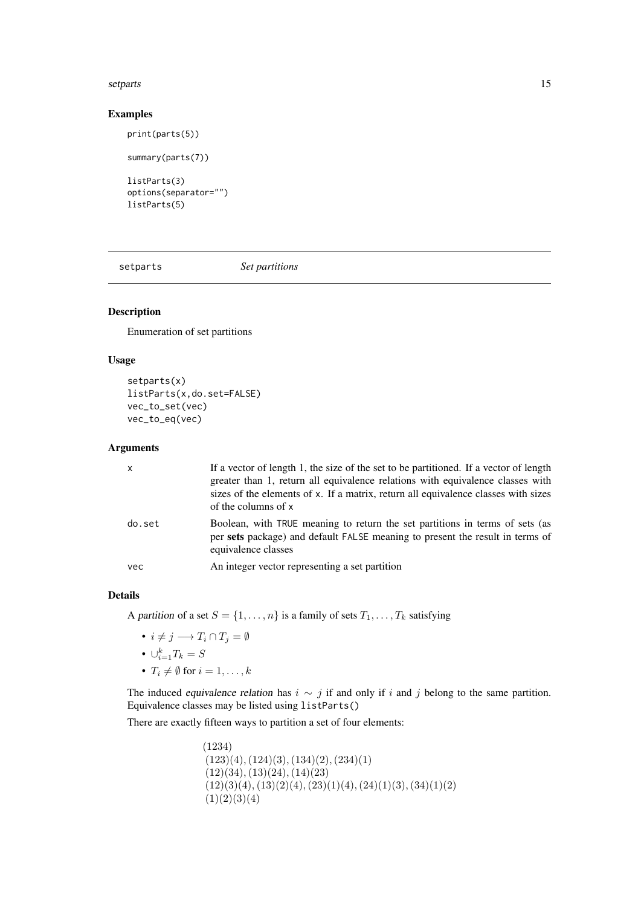## <span id="page-14-0"></span>setparts and the set of the set of the set of the set of the set of the set of the set of the set of the set of the set of the set of the set of the set of the set of the set of the set of the set of the set of the set of

# Examples

```
print(parts(5))
```

```
summary(parts(7))
listParts(3)
options(separator="")
listParts(5)
```
setparts *Set partitions*

# Description

Enumeration of set partitions

# Usage

```
setparts(x)
listParts(x,do.set=FALSE)
vec_to_set(vec)
vec_to_eq(vec)
```
# Arguments

| $\mathsf{x}$ | If a vector of length 1, the size of the set to be partitioned. If a vector of length<br>greater than 1, return all equivalence relations with equivalence classes with<br>sizes of the elements of x. If a matrix, return all equivalence classes with sizes<br>of the columns of x |
|--------------|--------------------------------------------------------------------------------------------------------------------------------------------------------------------------------------------------------------------------------------------------------------------------------------|
| do.set       | Boolean, with TRUE meaning to return the set partitions in terms of sets (as<br>per sets package) and default FALSE meaning to present the result in terms of<br>equivalence classes                                                                                                 |
| vec          | An integer vector representing a set partition                                                                                                                                                                                                                                       |

## Details

A partition of a set  $S = \{1, \ldots, n\}$  is a family of sets  $T_1, \ldots, T_k$  satisfying

- $i \neq j \longrightarrow T_i \cap T_j = \emptyset$
- $\cup_{i=1}^k T_k = S$
- $T_i \neq \emptyset$  for  $i = 1, \ldots, k$

The induced equivalence relation has  $i \sim j$  if and only if i and j belong to the same partition. Equivalence classes may be listed using listParts()

There are exactly fifteen ways to partition a set of four elements:

(1234)  $(123)(4), (124)(3), (134)(2), (234)(1)$  $(12)(34), (13)(24), (14)(23)$  $(12)(3)(4), (13)(2)(4), (23)(1)(4), (24)(1)(3), (34)(1)(2)$  $(1)(2)(3)(4)$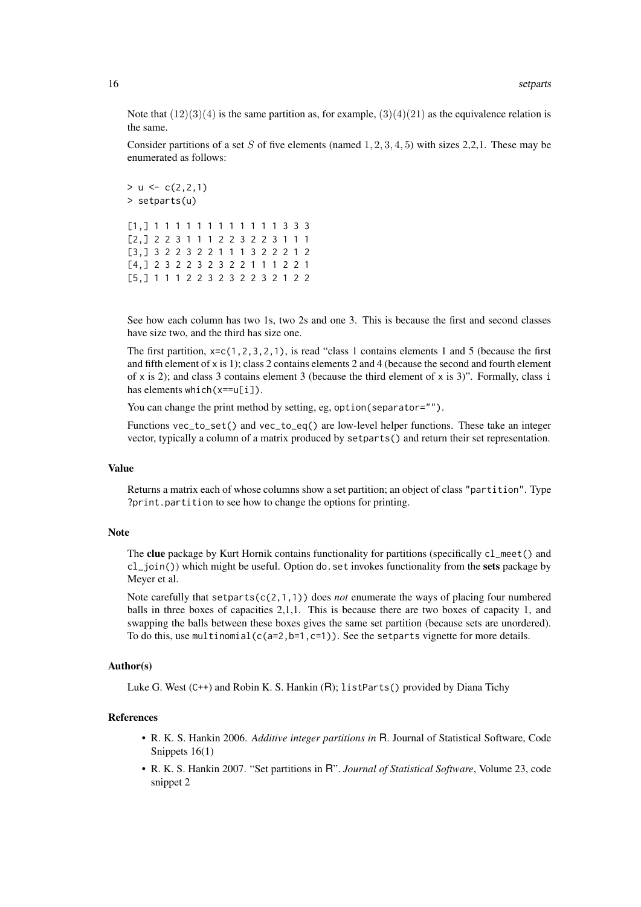Note that  $(12)(3)(4)$  is the same partition as, for example,  $(3)(4)(21)$  as the equivalence relation is the same.

Consider partitions of a set S of five elements (named  $1, 2, 3, 4, 5$ ) with sizes 2,2,1. These may be enumerated as follows:

 $>$  u  $\leq$  c(2,2,1) > setparts(u) [1,] 1 1 1 1 1 1 1 1 1 1 1 1 3 3 3 [2,] 2 2 3 1 1 1 2 2 3 2 2 3 1 1 1 [3,] 3 2 2 3 2 2 1 1 1 3 2 2 2 1 2 [4,] 2 3 2 2 3 2 3 2 2 1 1 1 2 2 1 [5,] 1 1 1 2 2 3 2 3 2 2 3 2 1 2 2

See how each column has two 1s, two 2s and one 3. This is because the first and second classes have size two, and the third has size one.

The first partition,  $x = c(1, 2, 3, 2, 1)$ , is read "class 1 contains elements 1 and 5 (because the first and fifth element of x is 1); class 2 contains elements 2 and 4 (because the second and fourth element of  $\times$  is 2); and class 3 contains element 3 (because the third element of  $\times$  is 3)". Formally, class i has elements which(x==u[i]).

You can change the print method by setting, eg, option(separator="").

Functions vec\_to\_set() and vec\_to\_eq() are low-level helper functions. These take an integer vector, typically a column of a matrix produced by setparts() and return their set representation.

## Value

Returns a matrix each of whose columns show a set partition; an object of class "partition". Type ?print.partition to see how to change the options for printing.

## Note

The clue package by Kurt Hornik contains functionality for partitions (specifically cl\_meet() and cl\_join()) which might be useful. Option do.set invokes functionality from the sets package by Meyer et al.

Note carefully that  $setparts(c(2,1,1))$  does *not* enumerate the ways of placing four numbered balls in three boxes of capacities 2,1,1. This is because there are two boxes of capacity 1, and swapping the balls between these boxes gives the same set partition (because sets are unordered). To do this, use multinomial(c(a=2,b=1,c=1)). See the setparts vignette for more details.

# Author(s)

Luke G. West (C++) and Robin K. S. Hankin (R); listParts() provided by Diana Tichy

# References

- R. K. S. Hankin 2006. *Additive integer partitions in* R. Journal of Statistical Software, Code Snippets 16(1)
- R. K. S. Hankin 2007. "Set partitions in R". *Journal of Statistical Software*, Volume 23, code snippet 2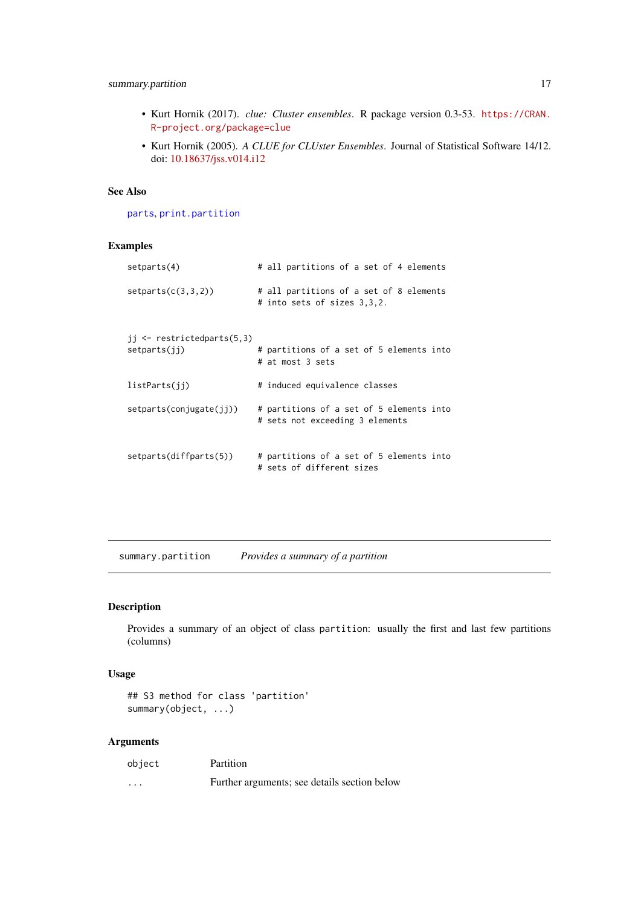## <span id="page-16-0"></span>summary.partition 17

- Kurt Hornik (2017). *clue: Cluster ensembles*. R package version 0.3-53. [https://CRAN.](https://CRAN.R-project.org/package=clue) [R-project.org/package=clue](https://CRAN.R-project.org/package=clue)
- Kurt Hornik (2005). *A CLUE for CLUster Ensembles*. Journal of Statistical Software 14/12. doi: [10.18637/jss.v014.i12](https://doi.org/10.18637/jss.v014.i12)

## See Also

[parts](#page-8-1), [print.partition](#page-13-1)

# Examples

| setparts(4)                                             | # all partitions of a set of 4 elements                                     |
|---------------------------------------------------------|-----------------------------------------------------------------------------|
| setparts(c(3,3,2))                                      | # all partitions of a set of 8 elements<br># into sets of sizes 3,3,2.      |
| $ji \leftarrow$ restrictedparts $(5,3)$<br>setparts(ij) | # partitions of a set of 5 elements into<br># at most 3 sets                |
| listParts(jj)                                           | # induced equivalence classes                                               |
| setparts(conjugate(i))                                  | # partitions of a set of 5 elements into<br># sets not exceeding 3 elements |
| setparts(diffparts(5))                                  | # partitions of a set of 5 elements into<br># sets of different sizes       |

summary.partition *Provides a summary of a partition*

## Description

Provides a summary of an object of class partition: usually the first and last few partitions (columns)

# Usage

```
## S3 method for class 'partition'
summary(object, ...)
```

| object   | Partition                                    |
|----------|----------------------------------------------|
| $\cdots$ | Further arguments; see details section below |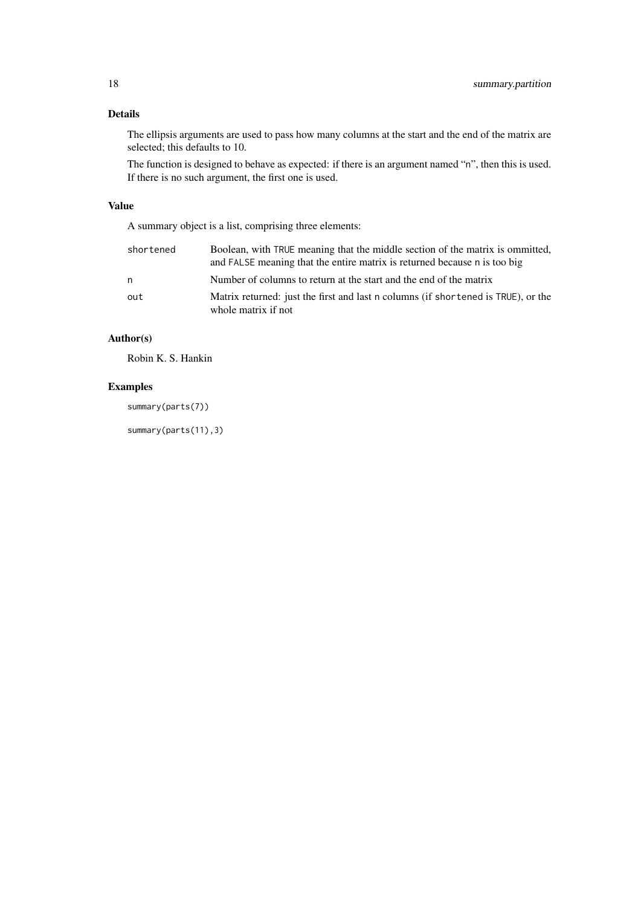# Details

The ellipsis arguments are used to pass how many columns at the start and the end of the matrix are selected; this defaults to 10.

The function is designed to behave as expected: if there is an argument named "n", then this is used. If there is no such argument, the first one is used.

# Value

A summary object is a list, comprising three elements:

| shortened | Boolean, with TRUE meaning that the middle section of the matrix is ommitted,<br>and FALSE meaning that the entire matrix is returned because n is too big |
|-----------|------------------------------------------------------------------------------------------------------------------------------------------------------------|
| n         | Number of columns to return at the start and the end of the matrix                                                                                         |
| out       | Matrix returned: just the first and last n columns (if shortened is TRUE), or the<br>whole matrix if not                                                   |

# Author(s)

Robin K. S. Hankin

# Examples

summary(parts(7))

summary(parts(11),3)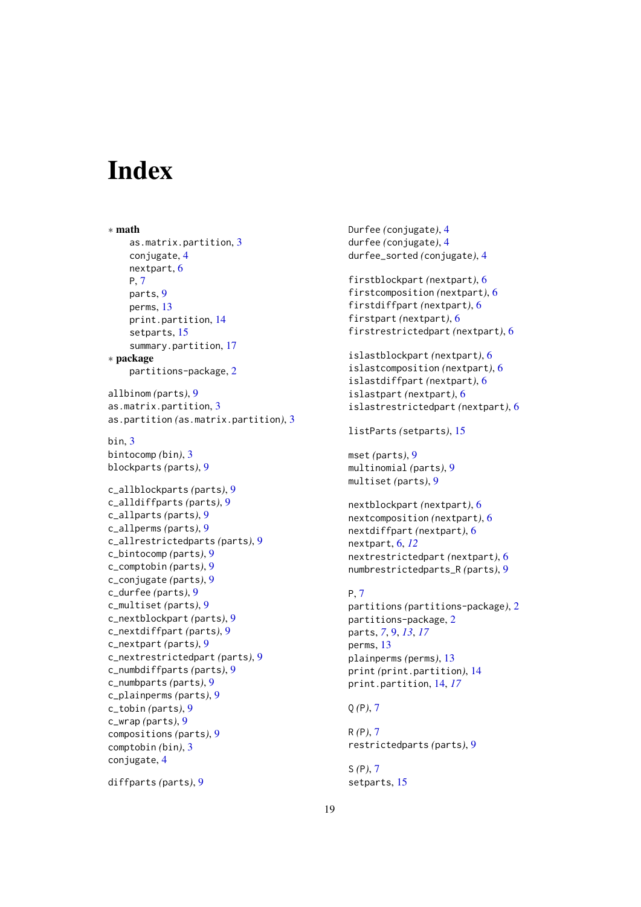# <span id="page-18-0"></span>Index

∗ math as.matrix.partition, [3](#page-2-0) conjugate, [4](#page-3-0) nextpart, [6](#page-5-0) P, [7](#page-6-0) parts, [9](#page-8-0) perms, [13](#page-12-0) print.partition, [14](#page-13-0) setparts, [15](#page-14-0) summary.partition, [17](#page-16-0) ∗ package partitions-package, [2](#page-1-0) allbinom *(*parts*)*, [9](#page-8-0) as.matrix.partition, [3](#page-2-0) as.partition *(*as.matrix.partition*)*, [3](#page-2-0) bin, [3](#page-2-0) bintocomp *(*bin*)*, [3](#page-2-0) blockparts *(*parts*)*, [9](#page-8-0) c\_allblockparts *(*parts*)*, [9](#page-8-0) c\_alldiffparts *(*parts*)*, [9](#page-8-0) c\_allparts *(*parts*)*, [9](#page-8-0) c\_allperms *(*parts*)*, [9](#page-8-0) c\_allrestrictedparts *(*parts*)*, [9](#page-8-0) c\_bintocomp *(*parts*)*, [9](#page-8-0) c\_comptobin *(*parts*)*, [9](#page-8-0) c\_conjugate *(*parts*)*, [9](#page-8-0) c\_durfee *(*parts*)*, [9](#page-8-0) c\_multiset *(*parts*)*, [9](#page-8-0) c\_nextblockpart *(*parts*)*, [9](#page-8-0) c\_nextdiffpart *(*parts*)*, [9](#page-8-0) c\_nextpart *(*parts*)*, [9](#page-8-0) c\_nextrestrictedpart *(*parts*)*, [9](#page-8-0) c\_numbdiffparts *(*parts*)*, [9](#page-8-0) c\_numbparts *(*parts*)*, [9](#page-8-0) c\_plainperms *(*parts*)*, [9](#page-8-0) c\_tobin *(*parts*)*, [9](#page-8-0) c\_wrap *(*parts*)*, [9](#page-8-0) compositions *(*parts*)*, [9](#page-8-0) comptobin *(*bin*)*, [3](#page-2-0) conjugate, [4](#page-3-0)

diffparts *(*parts*)*, [9](#page-8-0)

Durfee *(*conjugate*)*, [4](#page-3-0) durfee *(*conjugate*)*, [4](#page-3-0) durfee\_sorted *(*conjugate*)*, [4](#page-3-0) firstblockpart *(*nextpart*)*, [6](#page-5-0) firstcomposition *(*nextpart*)*, [6](#page-5-0) firstdiffpart *(*nextpart*)*, [6](#page-5-0) firstpart *(*nextpart*)*, [6](#page-5-0) firstrestrictedpart *(*nextpart*)*, [6](#page-5-0) islastblockpart *(*nextpart*)*, [6](#page-5-0) islastcomposition *(*nextpart*)*, [6](#page-5-0) islastdiffpart *(*nextpart*)*, [6](#page-5-0) islastpart *(*nextpart*)*, [6](#page-5-0) islastrestrictedpart *(*nextpart*)*, [6](#page-5-0) listParts *(*setparts*)*, [15](#page-14-0) mset *(*parts*)*, [9](#page-8-0) multinomial *(*parts*)*, [9](#page-8-0) multiset *(*parts*)*, [9](#page-8-0) nextblockpart *(*nextpart*)*, [6](#page-5-0) nextcomposition *(*nextpart*)*, [6](#page-5-0) nextdiffpart *(*nextpart*)*, [6](#page-5-0) nextpart, [6,](#page-5-0) *[12](#page-11-0)* nextrestrictedpart *(*nextpart*)*, [6](#page-5-0) numbrestrictedparts\_R *(*parts*)*, [9](#page-8-0) P, [7](#page-6-0) partitions *(*partitions-package*)*, [2](#page-1-0) partitions-package, [2](#page-1-0) parts, *[7](#page-6-0)*, [9,](#page-8-0) *[13](#page-12-0)*, *[17](#page-16-0)* perms, [13](#page-12-0)

plainperms *(*perms*)*, [13](#page-12-0) print *(*print.partition*)*, [14](#page-13-0) print.partition, [14,](#page-13-0) *[17](#page-16-0)*

Q *(*P*)*, [7](#page-6-0)

R *(*P*)*, [7](#page-6-0) restrictedparts *(*parts*)*, [9](#page-8-0)

S *(*P*)*, [7](#page-6-0) setparts, [15](#page-14-0)